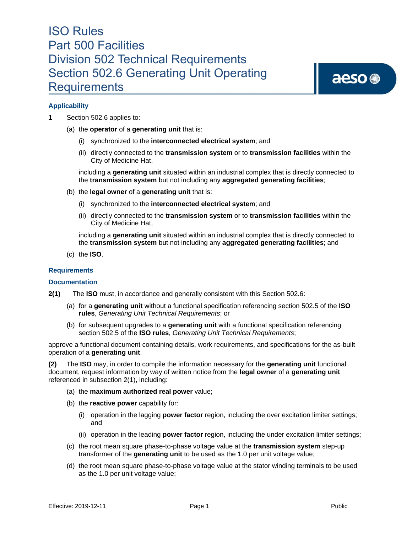aeso<sup>®</sup>

## **Applicability**

- **1** Section 502.6 applies to:
	- (a) the **operator** of a **generating unit** that is:
		- (i) synchronized to the **interconnected electrical system**; and
		- (ii) directly connected to the **transmission system** or to **transmission facilities** within the City of Medicine Hat,

including a **generating unit** situated within an industrial complex that is directly connected to the **transmission system** but not including any **aggregated generating facilities**;

- (b) the **legal owner** of a **generating unit** that is:
	- (i) synchronized to the **interconnected electrical system**; and
	- (ii) directly connected to the **transmission system** or to **transmission facilities** within the City of Medicine Hat,

including a **generating unit** situated within an industrial complex that is directly connected to the **transmission system** but not including any **aggregated generating facilities**; and

(c) the **ISO**.

## **Requirements**

#### **Documentation**

- **2(1)** The **ISO** must, in accordance and generally consistent with this Section 502.6:
	- (a) for a **generating unit** without a functional specification referencing section 502.5 of the **ISO rules**, *Generating Unit Technical Requirements*; or
	- (b) for subsequent upgrades to a **generating unit** with a functional specification referencing section 502.5 of the **ISO rules**, *Generating Unit Technical Requirements*;

approve a functional document containing details, work requirements, and specifications for the as-built operation of a **generating unit**.

**(2)** The **ISO** may, in order to compile the information necessary for the **generating unit** functional document, request information by way of written notice from the **legal owner** of a **generating unit**  referenced in subsection 2(1), including:

- (a) the **maximum authorized real power** value;
- (b) the **reactive power** capability for:
	- (i) operation in the lagging **power factor** region, including the over excitation limiter settings; and
	- (ii) operation in the leading **power factor** region, including the under excitation limiter settings;
- (c) the root mean square phase-to-phase voltage value at the **transmission system** step-up transformer of the **generating unit** to be used as the 1.0 per unit voltage value;
- (d) the root mean square phase-to-phase voltage value at the stator winding terminals to be used as the 1.0 per unit voltage value;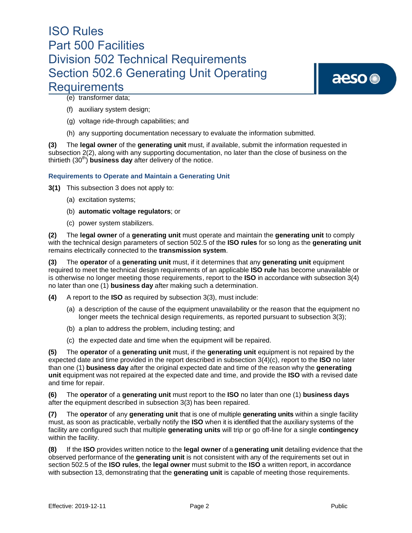aeso<sup>®</sup>

(e) transformer data;

- (f) auxiliary system design;
- (g) voltage ride-through capabilities; and
- (h) any supporting documentation necessary to evaluate the information submitted.

**(3)** The **legal owner** of the **generating unit** must, if available, submit the information requested in subsection 2(2), along with any supporting documentation, no later than the close of business on the thirtieth (30<sup>th</sup>) **business day** after delivery of the notice.

## **Requirements to Operate and Maintain a Generating Unit**

**3(1)** This subsection 3 does not apply to:

- (a) excitation systems;
- (b) **automatic voltage regulators**; or
- (c) power system stabilizers.

**(2)** The **legal owner** of a **generating unit** must operate and maintain the **generating unit** to comply with the technical design parameters of section 502.5 of the **ISO rules** for so long as the **generating unit**  remains electrically connected to the **transmission system**.

**(3)** The **operator** of a **generating unit** must, if it determines that any **generating unit** equipment required to meet the technical design requirements of an applicable **ISO rule** has become unavailable or is otherwise no longer meeting those requirements, report to the **ISO** in accordance with subsection 3(4) no later than one (1) **business day** after making such a determination.

**(4)** A report to the **ISO** as required by subsection 3(3), must include:

- (a) a description of the cause of the equipment unavailability or the reason that the equipment no longer meets the technical design requirements, as reported pursuant to subsection 3(3);
- (b) a plan to address the problem, including testing; and
- (c) the expected date and time when the equipment will be repaired.

**(5)** The **operator** of a **generating unit** must, if the **generating unit** equipment is not repaired by the expected date and time provided in the report described in subsection 3(4)(c), report to the **ISO** no later than one (1) **business day** after the original expected date and time of the reason why the **generating unit** equipment was not repaired at the expected date and time, and provide the **ISO** with a revised date and time for repair.

**(6)** The **operator** of a **generating unit** must report to the **ISO** no later than one (1) **business days** after the equipment described in subsection 3(3) has been repaired.

**(7)** The **operator** of any **generating unit** that is one of multiple **generating units** within a single facility must, as soon as practicable, verbally notify the **ISO** when it is identified that the auxiliary systems of the facility are configured such that multiple **generating units** will trip or go off-line for a single **contingency** within the facility.

**(8)** If the **ISO** provides written notice to the **legal owner** of a **generating unit** detailing evidence that the observed performance of the **generating unit** is not consistent with any of the requirements set out in section 502.5 of the **ISO rules**, the **legal owner** must submit to the **ISO** a written report, in accordance with subsection 13, demonstrating that the **generating unit** is capable of meeting those requirements.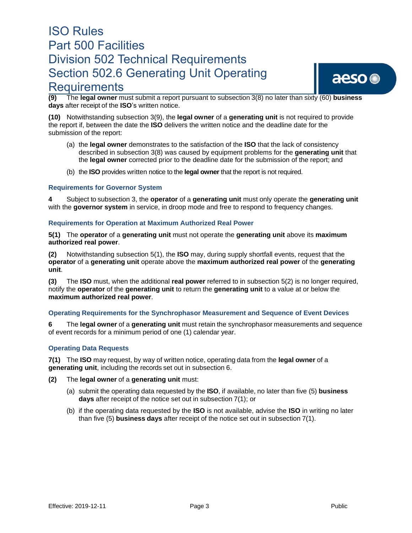## **Requirements**

aeso ®

**(9)** The **legal owner** must submit a report pursuant to subsection 3(8) no later than sixty (60) **business days** after receipt of the **ISO**'s written notice.

**(10)** Notwithstanding subsection 3(9), the **legal owner** of a **generating unit** is not required to provide the report if, between the date the **ISO** delivers the written notice and the deadline date for the submission of the report:

- (a) the **legal owner** demonstrates to the satisfaction of the **ISO** that the lack of consistency described in subsection 3(8) was caused by equipment problems for the **generating unit** that the **legal owner** corrected prior to the deadline date for the submission of the report; and
- (b) the **ISO** provides written notice to the **legal owner** that the report is not required.

## **Requirements for Governor System**

**4** Subject to subsection 3, the **operator** of a **generating unit** must only operate the **generating unit**  with the **governor system** in service, in droop mode and free to respond to frequency changes.

## **Requirements for Operation at Maximum Authorized Real Power**

**5(1)** The **operator** of a **generating unit** must not operate the **generating unit** above its **maximum authorized real power**.

**(2)** Notwithstanding subsection 5(1), the **ISO** may, during supply shortfall events, request that the **operator** of a **generating unit** operate above the **maximum authorized real power** of the **generating unit**.

**(3)** The **ISO** must, when the additional **real power** referred to in subsection 5(2) is no longer required, notify the **operator** of the **generating unit** to return the **generating unit** to a value at or below the **maximum authorized real power**.

## **Operating Requirements for the Synchrophasor Measurement and Sequence of Event Devices**

**6** The **legal owner** of a **generating unit** must retain the synchrophasor measurements and sequence of event records for a minimum period of one (1) calendar year.

## **Operating Data Requests**

**7(1)** The **ISO** may request, by way of written notice, operating data from the **legal owner** of a **generating unit**, including the records set out in subsection 6.

- **(2)** The **legal owner** of a **generating unit** must:
	- (a) submit the operating data requested by the **ISO**, if available, no later than five (5) **business days** after receipt of the notice set out in subsection 7(1); or
	- (b) if the operating data requested by the **ISO** is not available, advise the **ISO** in writing no later than five (5) **business days** after receipt of the notice set out in subsection 7(1).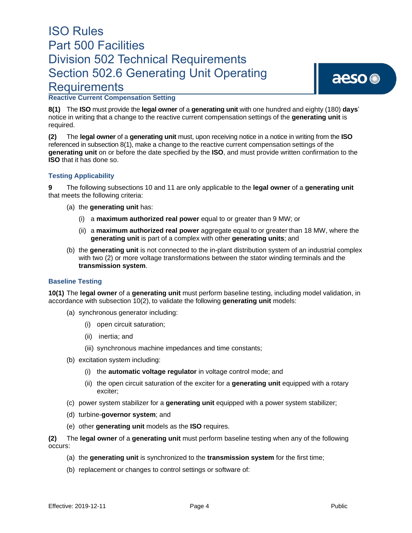# aeso<sup>®</sup>

## **Reactive Current Compensation Setting**

**8(1)** The **ISO** must provide the **legal owner** of a **generating unit** with one hundred and eighty (180) **days**' notice in writing that a change to the reactive current compensation settings of the **generating unit** is required.

**(2)** The **legal owner** of a **generating unit** must, upon receiving notice in a notice in writing from the **ISO** referenced in subsection 8(1), make a change to the reactive current compensation settings of the **generating unit** on or before the date specified by the **ISO**, and must provide written confirmation to the **ISO** that it has done so.

## **Testing Applicability**

**9** The following subsections 10 and 11 are only applicable to the **legal owner** of a **generating unit**  that meets the following criteria:

- (a) the **generating unit** has:
	- (i) a **maximum authorized real power** equal to or greater than 9 MW; or
	- (ii) a **maximum authorized real power** aggregate equal to or greater than 18 MW, where the **generating unit** is part of a complex with other **generating units**; and
- (b) the **generating unit** is not connected to the in-plant distribution system of an industrial complex with two (2) or more voltage transformations between the stator winding terminals and the **transmission system**.

## **Baseline Testing**

**10(1)** The **legal owner** of a **generating unit** must perform baseline testing, including model validation, in accordance with subsection 10(2), to validate the following **generating unit** models:

- (a) synchronous generator including:
	- (i) open circuit saturation;
	- (ii) inertia; and
	- (iii) synchronous machine impedances and time constants;
- (b) excitation system including:
	- (i) the **automatic voltage regulator** in voltage control mode; and
	- (ii) the open circuit saturation of the exciter for a **generating unit** equipped with a rotary exciter;
- (c) power system stabilizer for a **generating unit** equipped with a power system stabilizer;
- (d) turbine-**governor system**; and
- (e) other **generating unit** models as the **ISO** requires.

**(2)** The **legal owner** of a **generating unit** must perform baseline testing when any of the following occurs:

- (a) the **generating unit** is synchronized to the **transmission system** for the first time;
- (b) replacement or changes to control settings or software of: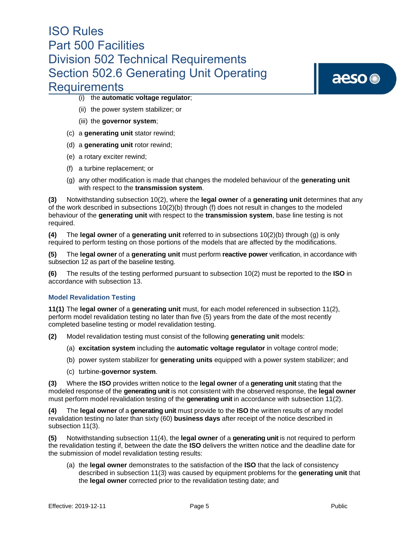# aeso<sup>®</sup>

- (i) the **automatic voltage regulator**;
- (ii) the power system stabilizer; or
- (iii) the **governor system**;
- (c) a **generating unit** stator rewind;
- (d) a **generating unit** rotor rewind;
- (e) a rotary exciter rewind;
- (f) a turbine replacement; or
- (g) any other modification is made that changes the modeled behaviour of the **generating unit**  with respect to the **transmission system**.

**(3)** Notwithstanding subsection 10(2), where the **legal owner** of a **generating unit** determines that any of the work described in subsections 10(2)(b) through (f) does not result in changes to the modeled behaviour of the **generating unit** with respect to the **transmission system**, base line testing is not required.

**(4)** The **legal owner** of a **generating unit** referred to in subsections 10(2)(b) through (g) is only required to perform testing on those portions of the models that are affected by the modifications.

**(5)** The **legal owner** of a **generating unit** must perform **reactive power** verification, in accordance with subsection 12 as part of the baseline testing.

**(6)** The results of the testing performed pursuant to subsection 10(2) must be reported to the **ISO** in accordance with subsection 13.

## **Model Revalidation Testing**

**11(1)** The **legal owner** of a **generating unit** must, for each model referenced in subsection 11(2), perform model revalidation testing no later than five (5) years from the date of the most recently completed baseline testing or model revalidation testing.

**(2)** Model revalidation testing must consist of the following **generating unit** models:

- (a) **excitation system** including the **automatic voltage regulator** in voltage control mode;
- (b) power system stabilizer for **generating units** equipped with a power system stabilizer; and
- (c) turbine-**governor system**.

**(3)** Where the **ISO** provides written notice to the **legal owner** of a **generating unit** stating that the modeled response of the **generating unit** is not consistent with the observed response, the **legal owner** must perform model revalidation testing of the **generating unit** in accordance with subsection 11(2).

**(4)** The **legal owner** of a **generating unit** must provide to the **ISO** the written results of any model revalidation testing no later than sixty (60) **business days** after receipt of the notice described in subsection 11(3).

**(5)** Notwithstanding subsection 11(4), the **legal owner** of a **generating unit** is not required to perform the revalidation testing if, between the date the **ISO** delivers the written notice and the deadline date for the submission of model revalidation testing results:

(a) the **legal owner** demonstrates to the satisfaction of the **ISO** that the lack of consistency described in subsection 11(3) was caused by equipment problems for the **generating unit** that the **legal owner** corrected prior to the revalidation testing date; and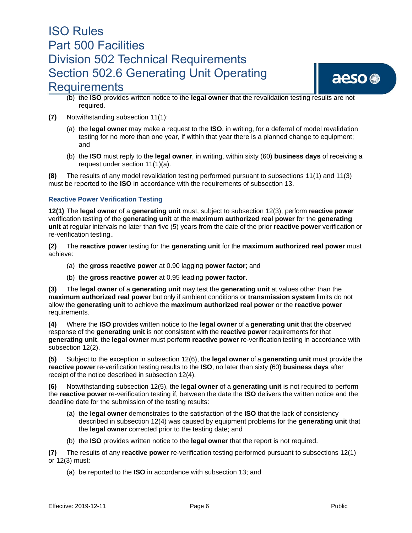

- (b) the **ISO** provides written notice to the **legal owner** that the revalidation testing results are not required.
- **(7)** Notwithstanding subsection 11(1):
	- (a) the **legal owner** may make a request to the **ISO**, in writing, for a deferral of model revalidation testing for no more than one year, if within that year there is a planned change to equipment; and
	- (b) the **ISO** must reply to the **legal owner**, in writing, within sixty (60) **business days** of receiving a request under section 11(1)(a).

**(8)** The results of any model revalidation testing performed pursuant to subsections 11(1) and 11(3) must be reported to the **ISO** in accordance with the requirements of subsection 13.

## **Reactive Power Verification Testing**

**12(1)** The **legal owner** of a **generating unit** must, subject to subsection 12(3), perform **reactive power** verification testing of the **generating unit** at the **maximum authorized real power** for the **generating unit** at regular intervals no later than five (5) years from the date of the prior **reactive power** verification or re-verification testing..

**(2)** The **reactive power** testing for the **generating unit** for the **maximum authorized real power** must achieve:

- (a) the **gross reactive power** at 0.90 lagging **power factor**; and
- (b) the **gross reactive power** at 0.95 leading **power factor**.

**(3)** The **legal owner** of a **generating unit** may test the **generating unit** at values other than the **maximum authorized real power** but only if ambient conditions or **transmission system** limits do not allow the **generating unit** to achieve the **maximum authorized real power** or the **reactive power**  requirements.

**(4)** Where the **ISO** provides written notice to the **legal owner** of a **generating unit** that the observed response of the **generating unit** is not consistent with the **reactive power** requirements for that **generating unit**, the **legal owner** must perform **reactive power** re-verification testing in accordance with subsection 12(2).

**(5)** Subject to the exception in subsection 12(6), the **legal owner** of a **generating unit** must provide the **reactive power** re-verification testing results to the **ISO**, no later than sixty (60) **business days** after receipt of the notice described in subsection 12(4).

**(6)** Notwithstanding subsection 12(5), the **legal owner** of a **generating unit** is not required to perform the **reactive power** re-verification testing if, between the date the **ISO** delivers the written notice and the deadline date for the submission of the testing results:

- (a) the **legal owner** demonstrates to the satisfaction of the **ISO** that the lack of consistency described in subsection 12(4) was caused by equipment problems for the **generating unit** that the **legal owner** corrected prior to the testing date; and
- (b) the **ISO** provides written notice to the **legal owner** that the report is not required.

**(7)** The results of any **reactive power** re-verification testing performed pursuant to subsections 12(1) or 12(3) must:

(a) be reported to the **ISO** in accordance with subsection 13; and